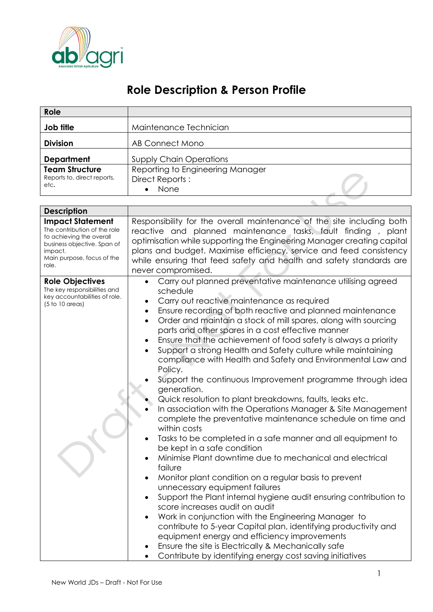

## **Role Description & Person Profile**

| Role                                                                                                                                                                 |                                                                                                                                                                                                                                                                                                                                                                                                                                                                                                                                                                                                                                                                                                                                                                                                                                                                                                                                                                                                                                                                                                                                                                                                                                                                                                                                                                                                                                                                                                                 |  |  |  |
|----------------------------------------------------------------------------------------------------------------------------------------------------------------------|-----------------------------------------------------------------------------------------------------------------------------------------------------------------------------------------------------------------------------------------------------------------------------------------------------------------------------------------------------------------------------------------------------------------------------------------------------------------------------------------------------------------------------------------------------------------------------------------------------------------------------------------------------------------------------------------------------------------------------------------------------------------------------------------------------------------------------------------------------------------------------------------------------------------------------------------------------------------------------------------------------------------------------------------------------------------------------------------------------------------------------------------------------------------------------------------------------------------------------------------------------------------------------------------------------------------------------------------------------------------------------------------------------------------------------------------------------------------------------------------------------------------|--|--|--|
| Job title                                                                                                                                                            | Maintenance Technician                                                                                                                                                                                                                                                                                                                                                                                                                                                                                                                                                                                                                                                                                                                                                                                                                                                                                                                                                                                                                                                                                                                                                                                                                                                                                                                                                                                                                                                                                          |  |  |  |
| <b>Division</b>                                                                                                                                                      | <b>AB Connect Mono</b>                                                                                                                                                                                                                                                                                                                                                                                                                                                                                                                                                                                                                                                                                                                                                                                                                                                                                                                                                                                                                                                                                                                                                                                                                                                                                                                                                                                                                                                                                          |  |  |  |
| <b>Department</b><br><b>Team Structure</b><br>Reports to, direct reports,<br>etc.                                                                                    | <b>Supply Chain Operations</b><br>Reporting to Engineering Manager<br>Direct Reports:                                                                                                                                                                                                                                                                                                                                                                                                                                                                                                                                                                                                                                                                                                                                                                                                                                                                                                                                                                                                                                                                                                                                                                                                                                                                                                                                                                                                                           |  |  |  |
|                                                                                                                                                                      | None                                                                                                                                                                                                                                                                                                                                                                                                                                                                                                                                                                                                                                                                                                                                                                                                                                                                                                                                                                                                                                                                                                                                                                                                                                                                                                                                                                                                                                                                                                            |  |  |  |
|                                                                                                                                                                      |                                                                                                                                                                                                                                                                                                                                                                                                                                                                                                                                                                                                                                                                                                                                                                                                                                                                                                                                                                                                                                                                                                                                                                                                                                                                                                                                                                                                                                                                                                                 |  |  |  |
| <b>Description</b>                                                                                                                                                   |                                                                                                                                                                                                                                                                                                                                                                                                                                                                                                                                                                                                                                                                                                                                                                                                                                                                                                                                                                                                                                                                                                                                                                                                                                                                                                                                                                                                                                                                                                                 |  |  |  |
| <b>Impact Statement</b><br>The contribution of the role<br>to achieving the overall<br>business objective. Span of<br>impact.<br>Main purpose, focus of the<br>role. | Responsibility for the overall maintenance of the site including both<br>reactive and planned maintenance tasks, fault finding, plant<br>optimisation while supporting the Engineering Manager creating capital<br>plans and budget. Maximise efficiency, service and feed consistency<br>while ensuring that feed safety and health and safety standards are<br>never compromised.                                                                                                                                                                                                                                                                                                                                                                                                                                                                                                                                                                                                                                                                                                                                                                                                                                                                                                                                                                                                                                                                                                                             |  |  |  |
| <b>Role Objectives</b><br>The key responsibilities and<br>key accountabilities of role.<br>$(5 to 10$ areas)                                                         | Carry out planned preventative maintenance utilising agreed<br>$\bullet$<br>schedule<br>Carry out reactive maintenance as required<br>$\bullet$<br>Ensure recording of both reactive and planned maintenance<br>$\bullet$<br>Order and maintain a stock of mill spares, along with sourcing<br>parts and other spares in a cost effective manner<br>Ensure that the achievement of food safety is always a priority<br>$\bullet$<br>Support a strong Health and Safety culture while maintaining<br>compliance with Health and Safety and Environmental Law and<br>Policy.<br>Support the continuous Improvement programme through idea<br>generation.<br>Quick resolution to plant breakdowns, faults, leaks etc.<br>In association with the Operations Manager & Site Management<br>complete the preventative maintenance schedule on time and<br>within costs<br>Tasks to be completed in a safe manner and all equipment to<br>be kept in a safe condition<br>Minimise Plant downtime due to mechanical and electrical<br>$\bullet$<br>failure<br>Monitor plant condition on a regular basis to prevent<br>$\bullet$<br>unnecessary equipment failures<br>Support the Plant internal hygiene audit ensuring contribution to<br>$\bullet$<br>score increases audit on audit<br>Work in conjunction with the Engineering Manager to<br>contribute to 5-year Capital plan, identifying productivity and<br>equipment energy and efficiency improvements<br>Ensure the site is Electrically & Mechanically safe |  |  |  |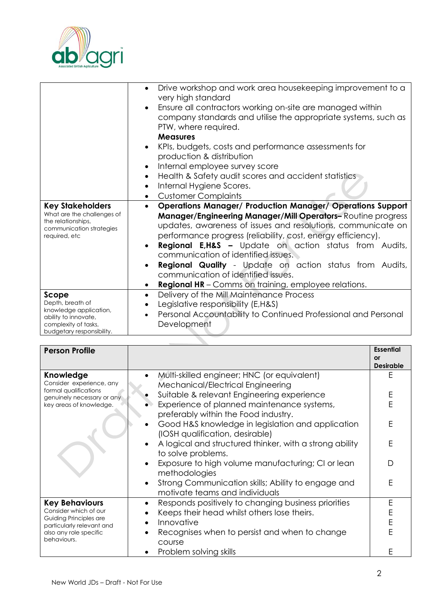

|                                                                                                                                  | Drive workshop and work area housekeeping improvement to a<br>$\bullet$<br>very high standard<br>Ensure all contractors working on-site are managed within<br>$\bullet$<br>company standards and utilise the appropriate systems, such as<br>PTW, where required.<br><b>Measures</b><br>KPIs, budgets, costs and performance assessments for<br>$\bullet$<br>production & distribution<br>Internal employee survey score<br>$\bullet$<br>Health & Safety audit scores and accident statistics<br>$\bullet$<br>Internal Hygiene Scores.<br>$\bullet$                                                     |
|----------------------------------------------------------------------------------------------------------------------------------|---------------------------------------------------------------------------------------------------------------------------------------------------------------------------------------------------------------------------------------------------------------------------------------------------------------------------------------------------------------------------------------------------------------------------------------------------------------------------------------------------------------------------------------------------------------------------------------------------------|
|                                                                                                                                  | <b>Customer Complaints</b><br>$\bullet$                                                                                                                                                                                                                                                                                                                                                                                                                                                                                                                                                                 |
| <b>Key Stakeholders</b><br>What are the challenges of<br>the relationships,<br>communication strategies<br>required, etc         | <b>Operations Manager/ Production Manager/ Operations Support</b><br>$\bullet$<br>Manager/Engineering Manager/Mill Operators-Routine progress<br>updates, awareness of issues and resolutions, communicate on<br>performance progress (reliability, cost, energy efficiency).<br><b>Regional E,H&amp;S -</b> Update on action status from Audits,<br>$\bullet$<br>communication of identified issues.<br><b>Regional Quality</b> - Update on action status from Audits,<br>$\bullet$<br>communication of identified issues.<br><b>Regional HR</b> – Comms on training, employee relations.<br>$\bullet$ |
| Scope<br>Depth, breath of<br>knowledge application,<br>ability to innovate,<br>complexity of tasks,<br>budgetary responsibility. | Delivery of the Mill Maintenance Process<br>$\bullet$<br>Legislative responsibility (E,H&S)<br>Personal Accountability to Continued Professional and Personal<br>$\bullet$<br>Development                                                                                                                                                                                                                                                                                                                                                                                                               |

| <b>Person Profile</b>                                                                                                                          |                                                                                                   | <b>Essential</b><br>or |
|------------------------------------------------------------------------------------------------------------------------------------------------|---------------------------------------------------------------------------------------------------|------------------------|
|                                                                                                                                                |                                                                                                   | <b>Desirable</b>       |
| Knowledge<br>Consider experience, any<br>formal qualifications<br>genuinely necessary or any<br>key areas of knowledge.                        | Multi-skilled engineer; HNC (or equivalent)<br>$\bullet$<br>Mechanical/Electrical Engineering     | Ε                      |
|                                                                                                                                                | Suitable & relevant Engineering experience                                                        | E                      |
|                                                                                                                                                | Experience of planned maintenance systems,<br>preferably within the Food industry.                | Ē                      |
|                                                                                                                                                | Good H&S knowledge in legislation and application<br>(IOSH qualification, desirable)              | E                      |
|                                                                                                                                                | A logical and structured thinker, with a strong ability<br>$\bullet$<br>to solve problems.        | E                      |
|                                                                                                                                                | Exposure to high volume manufacturing; CI or lean<br>$\bullet$<br>methodologies                   | D                      |
|                                                                                                                                                | Strong Communication skills; Ability to engage and<br>$\bullet$<br>motivate teams and individuals | E                      |
| <b>Key Behaviours</b><br>Consider which of our<br>Guiding Principles are<br>particularly relevant and<br>also any role specific<br>behaviours. | Responds positively to changing business priorities<br>$\bullet$                                  | E                      |
|                                                                                                                                                | Keeps their head whilst others lose theirs.<br>$\bullet$                                          | E                      |
|                                                                                                                                                | Innovative<br>$\bullet$                                                                           | E                      |
|                                                                                                                                                | Recognises when to persist and when to change<br>$\bullet$<br>course                              | Ë                      |
|                                                                                                                                                | Problem solving skills                                                                            | F                      |